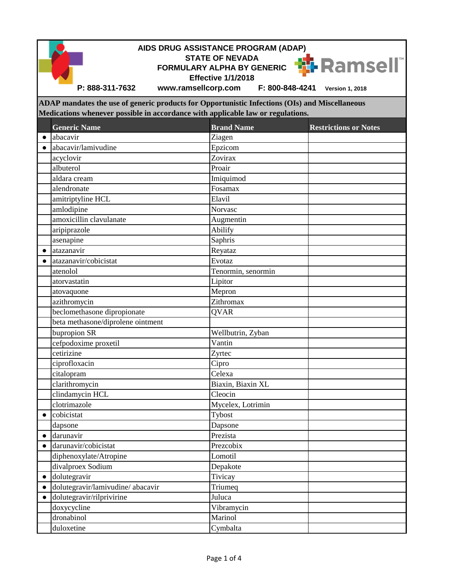|           | P: 888-311-7632                                                                                | AIDS DRUG ASSISTANCE PROGRAM (ADAP)<br><b>STATE OF NEVADA</b><br><b>FORMULARY ALPHA BY GENERIC</b><br><b>Effective 1/1/2018</b><br>www.ramsellcorp.com<br>F: 800-848-4241 | ₩ Ramsell®<br><b>Version 1, 2018</b> |  |  |  |  |  |
|-----------|------------------------------------------------------------------------------------------------|---------------------------------------------------------------------------------------------------------------------------------------------------------------------------|--------------------------------------|--|--|--|--|--|
|           | ADAP mandates the use of generic products for Opportunistic Infections (OIs) and Miscellaneous |                                                                                                                                                                           |                                      |  |  |  |  |  |
|           |                                                                                                | Medications whenever possible in accordance with applicable law or regulations.                                                                                           |                                      |  |  |  |  |  |
|           | <b>Generic Name</b>                                                                            | <b>Brand Name</b>                                                                                                                                                         | <b>Restrictions or Notes</b>         |  |  |  |  |  |
| $\bullet$ | abacavir                                                                                       | Ziagen                                                                                                                                                                    |                                      |  |  |  |  |  |
| $\bullet$ | abacavir/lamivudine                                                                            | Epzicom                                                                                                                                                                   |                                      |  |  |  |  |  |
|           | acyclovir                                                                                      | Zovirax                                                                                                                                                                   |                                      |  |  |  |  |  |
|           | albuterol                                                                                      | Proair                                                                                                                                                                    |                                      |  |  |  |  |  |
|           | aldara cream                                                                                   | Imiquimod                                                                                                                                                                 |                                      |  |  |  |  |  |
|           | alendronate                                                                                    | Fosamax                                                                                                                                                                   |                                      |  |  |  |  |  |
|           | amitriptyline HCL                                                                              | Elavil                                                                                                                                                                    |                                      |  |  |  |  |  |
|           | amlodipine                                                                                     | Norvasc                                                                                                                                                                   |                                      |  |  |  |  |  |
|           | amoxicillin clavulanate                                                                        | Augmentin                                                                                                                                                                 |                                      |  |  |  |  |  |
|           | aripiprazole                                                                                   | Abilify                                                                                                                                                                   |                                      |  |  |  |  |  |
|           | asenapine                                                                                      | Saphris                                                                                                                                                                   |                                      |  |  |  |  |  |
| $\bullet$ | atazanavir                                                                                     | Reyataz                                                                                                                                                                   |                                      |  |  |  |  |  |
|           | atazanavir/cobicistat                                                                          | Evotaz                                                                                                                                                                    |                                      |  |  |  |  |  |
|           | atenolol                                                                                       | Tenormin, senormin                                                                                                                                                        |                                      |  |  |  |  |  |
|           | atorvastatin                                                                                   | Lipitor                                                                                                                                                                   |                                      |  |  |  |  |  |
|           | atovaquone                                                                                     | Mepron                                                                                                                                                                    |                                      |  |  |  |  |  |
|           | azithromycin                                                                                   | Zithromax                                                                                                                                                                 |                                      |  |  |  |  |  |
|           | beclomethasone dipropionate                                                                    | <b>OVAR</b>                                                                                                                                                               |                                      |  |  |  |  |  |
|           | beta methasone/diprolene ointment                                                              |                                                                                                                                                                           |                                      |  |  |  |  |  |
|           | bupropion SR                                                                                   | Wellbutrin, Zyban                                                                                                                                                         |                                      |  |  |  |  |  |
|           | cefpodoxime proxetil                                                                           | Vantin                                                                                                                                                                    |                                      |  |  |  |  |  |
|           | cetirizine                                                                                     | Zyrtec                                                                                                                                                                    |                                      |  |  |  |  |  |
|           | ciprofloxacin                                                                                  | Cipro                                                                                                                                                                     |                                      |  |  |  |  |  |
|           | citalopram                                                                                     | Celexa                                                                                                                                                                    |                                      |  |  |  |  |  |
|           | clarithromycin                                                                                 | Biaxin, Biaxin XL                                                                                                                                                         |                                      |  |  |  |  |  |
|           | clindamycin HCL                                                                                | Cleocin                                                                                                                                                                   |                                      |  |  |  |  |  |
|           | clotrimazole                                                                                   | Mycelex, Lotrimin                                                                                                                                                         |                                      |  |  |  |  |  |
| $\bullet$ | cobicistat                                                                                     | Tybost                                                                                                                                                                    |                                      |  |  |  |  |  |
|           | dapsone                                                                                        | Dapsone                                                                                                                                                                   |                                      |  |  |  |  |  |
| $\bullet$ | darunavir                                                                                      | Prezista                                                                                                                                                                  |                                      |  |  |  |  |  |
| $\bullet$ | darunavir/cobicistat                                                                           | Prezcobix                                                                                                                                                                 |                                      |  |  |  |  |  |
|           | diphenoxylate/Atropine                                                                         | Lomotil                                                                                                                                                                   |                                      |  |  |  |  |  |
|           | divalproex Sodium                                                                              | Depakote                                                                                                                                                                  |                                      |  |  |  |  |  |
| $\bullet$ | dolutegravir                                                                                   | Tivicay                                                                                                                                                                   |                                      |  |  |  |  |  |
| $\bullet$ | dolutegravir/lamivudine/abacavir                                                               | Triumeq                                                                                                                                                                   |                                      |  |  |  |  |  |
| $\bullet$ | dolutegravir/rilprivirine                                                                      | Juluca                                                                                                                                                                    |                                      |  |  |  |  |  |
|           | doxycycline                                                                                    | Vibramycin                                                                                                                                                                |                                      |  |  |  |  |  |
|           | dronabinol                                                                                     | Marinol                                                                                                                                                                   |                                      |  |  |  |  |  |
|           | duloxetine                                                                                     | Cymbalta                                                                                                                                                                  |                                      |  |  |  |  |  |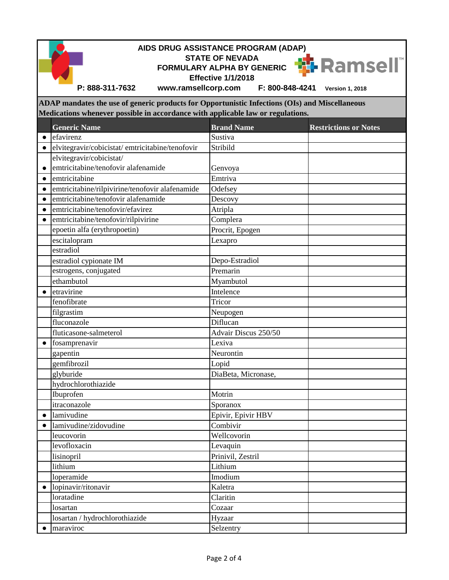|           | AIDS DRUG ASSISTANCE PROGRAM (ADAP)<br><b>STATE OF NEVADA</b><br><mark>∰</mark> Ramsell ٌ<br><b>FORMULARY ALPHA BY GENERIC</b><br><b>Effective 1/1/2018</b> |                      |                              |  |  |  |
|-----------|-------------------------------------------------------------------------------------------------------------------------------------------------------------|----------------------|------------------------------|--|--|--|
|           | P: 888-311-7632<br>www.ramsellcorp.com                                                                                                                      | F: 800-848-4241      | <b>Version 1, 2018</b>       |  |  |  |
|           | ADAP mandates the use of generic products for Opportunistic Infections (OIs) and Miscellaneous                                                              |                      |                              |  |  |  |
|           | Medications whenever possible in accordance with applicable law or regulations.                                                                             |                      |                              |  |  |  |
|           | <b>Generic Name</b>                                                                                                                                         | <b>Brand Name</b>    | <b>Restrictions or Notes</b> |  |  |  |
| $\bullet$ | efavirenz                                                                                                                                                   | Sustiva              |                              |  |  |  |
| $\bullet$ | elvitegravir/cobicistat/emtricitabine/tenofovir                                                                                                             | Stribild             |                              |  |  |  |
|           | elvitegravir/cobicistat/                                                                                                                                    |                      |                              |  |  |  |
| $\bullet$ | emtricitabine/tenofovir alafenamide                                                                                                                         | Genvoya              |                              |  |  |  |
| $\bullet$ | emtricitabine                                                                                                                                               | Emtriva              |                              |  |  |  |
| $\bullet$ | emtricitabine/rilpivirine/tenofovir alafenamide                                                                                                             | Odefsey              |                              |  |  |  |
| $\bullet$ | emtricitabine/tenofovir alafenamide                                                                                                                         | Descovy              |                              |  |  |  |
| $\bullet$ | emtricitabine/tenofovir/efavirez                                                                                                                            | Atripla              |                              |  |  |  |
| $\bullet$ | emtricitabine/tenofovir/rilpivirine                                                                                                                         | Complera             |                              |  |  |  |
|           | epoetin alfa (erythropoetin)                                                                                                                                | Procrit, Epogen      |                              |  |  |  |
|           | escitalopram                                                                                                                                                | Lexapro              |                              |  |  |  |
|           | estradiol                                                                                                                                                   |                      |                              |  |  |  |
|           | estradiol cypionate IM                                                                                                                                      | Depo-Estradiol       |                              |  |  |  |
|           | estrogens, conjugated                                                                                                                                       | Premarin             |                              |  |  |  |
|           | ethambutol                                                                                                                                                  | Myambutol            |                              |  |  |  |
|           | etravirine                                                                                                                                                  | Intelence            |                              |  |  |  |
|           | fenofibrate                                                                                                                                                 | Tricor               |                              |  |  |  |
|           | filgrastim                                                                                                                                                  | Neupogen             |                              |  |  |  |
|           | fluconazole                                                                                                                                                 | Diflucan             |                              |  |  |  |
|           | fluticasone-salmeterol                                                                                                                                      | Advair Discus 250/50 |                              |  |  |  |
|           | fosamprenavir                                                                                                                                               | Lexiva               |                              |  |  |  |
|           | gapentin                                                                                                                                                    | Neurontin            |                              |  |  |  |
|           | gemfibrozil                                                                                                                                                 | Lopid                |                              |  |  |  |
|           | glyburide                                                                                                                                                   | DiaBeta, Micronase,  |                              |  |  |  |
|           | hydrochlorothiazide                                                                                                                                         |                      |                              |  |  |  |
|           | Ibuprofen                                                                                                                                                   | Motrin               |                              |  |  |  |
|           | itraconazole                                                                                                                                                | Sporanox             |                              |  |  |  |
| $\bullet$ | lamivudine                                                                                                                                                  | Epivir, Epivir HBV   |                              |  |  |  |
|           | lamivudine/zidovudine                                                                                                                                       | Combivir             |                              |  |  |  |
|           | leucovorin                                                                                                                                                  | Wellcovorin          |                              |  |  |  |
|           | levofloxacin                                                                                                                                                | Levaquin             |                              |  |  |  |
|           | lisinopril                                                                                                                                                  | Prinivil, Zestril    |                              |  |  |  |
|           | lithium                                                                                                                                                     | Lithium              |                              |  |  |  |
|           | loperamide                                                                                                                                                  | Imodium              |                              |  |  |  |
| $\bullet$ | lopinavir/ritonavir                                                                                                                                         | Kaletra              |                              |  |  |  |
|           | loratadine                                                                                                                                                  | Claritin             |                              |  |  |  |
|           | losartan                                                                                                                                                    | Cozaar               |                              |  |  |  |
|           | losartan / hydrochlorothiazide                                                                                                                              | Hyzaar               |                              |  |  |  |
| $\bullet$ | maraviroc                                                                                                                                                   | Selzentry            |                              |  |  |  |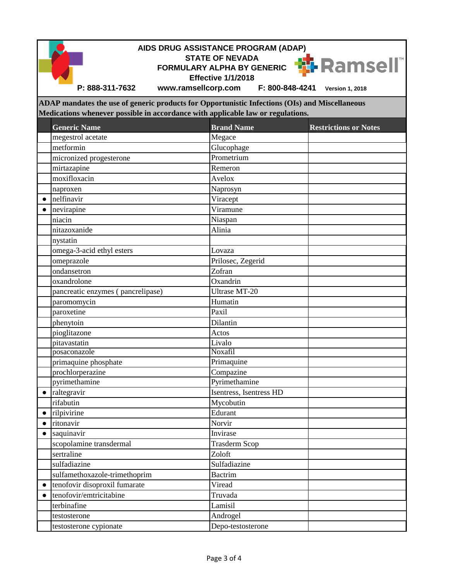| AIDS DRUG ASSISTANCE PROGRAM (ADAP)<br><b>STATE OF NEVADA</b> |                                                                                                |                            |                              |  |  |  |  |  |  |
|---------------------------------------------------------------|------------------------------------------------------------------------------------------------|----------------------------|------------------------------|--|--|--|--|--|--|
|                                                               |                                                                                                | FORMULARY ALPHA BY GENERIC | <b>W</b> Ramsell"            |  |  |  |  |  |  |
|                                                               |                                                                                                | <b>Effective 1/1/2018</b>  |                              |  |  |  |  |  |  |
|                                                               | P: 888-311-7632<br>www.ramsellcorp.com                                                         | F: 800-848-4241            | <b>Version 1, 2018</b>       |  |  |  |  |  |  |
|                                                               | ADAP mandates the use of generic products for Opportunistic Infections (OIs) and Miscellaneous |                            |                              |  |  |  |  |  |  |
|                                                               | Medications whenever possible in accordance with applicable law or regulations.                |                            |                              |  |  |  |  |  |  |
|                                                               | <b>Generic Name</b>                                                                            | <b>Brand Name</b>          |                              |  |  |  |  |  |  |
|                                                               | megestrol acetate                                                                              | Megace                     | <b>Restrictions or Notes</b> |  |  |  |  |  |  |
|                                                               | metformin                                                                                      | Glucophage                 |                              |  |  |  |  |  |  |
|                                                               | micronized progesterone                                                                        | Prometrium                 |                              |  |  |  |  |  |  |
|                                                               | mirtazapine                                                                                    | Remeron                    |                              |  |  |  |  |  |  |
|                                                               | moxifloxacin                                                                                   | Avelox                     |                              |  |  |  |  |  |  |
|                                                               | naproxen                                                                                       | Naprosyn                   |                              |  |  |  |  |  |  |
| $\bullet$                                                     | nelfinavir                                                                                     | Viracept                   |                              |  |  |  |  |  |  |
|                                                               | nevirapine                                                                                     | Viramune                   |                              |  |  |  |  |  |  |
|                                                               | niacin                                                                                         | Niaspan                    |                              |  |  |  |  |  |  |
|                                                               | nitazoxanide                                                                                   | Alinia                     |                              |  |  |  |  |  |  |
|                                                               | nystatin                                                                                       |                            |                              |  |  |  |  |  |  |
|                                                               | omega-3-acid ethyl esters                                                                      | Lovaza                     |                              |  |  |  |  |  |  |
|                                                               | omeprazole                                                                                     | Prilosec, Zegerid          |                              |  |  |  |  |  |  |
|                                                               | ondansetron                                                                                    | Zofran                     |                              |  |  |  |  |  |  |
|                                                               | oxandrolone                                                                                    | Oxandrin                   |                              |  |  |  |  |  |  |
|                                                               | pancreatic enzymes (pancrelipase)                                                              | <b>Ultrase MT-20</b>       |                              |  |  |  |  |  |  |
|                                                               | paromomycin                                                                                    | Humatin                    |                              |  |  |  |  |  |  |
|                                                               | paroxetine                                                                                     | Paxil                      |                              |  |  |  |  |  |  |
|                                                               | phenytoin                                                                                      | Dilantin                   |                              |  |  |  |  |  |  |
|                                                               | pioglitazone                                                                                   | Actos                      |                              |  |  |  |  |  |  |
|                                                               | pitavastatin                                                                                   | Livalo                     |                              |  |  |  |  |  |  |
|                                                               | posaconazole                                                                                   | Noxafil                    |                              |  |  |  |  |  |  |
|                                                               | primaquine phosphate                                                                           | Primaquine                 |                              |  |  |  |  |  |  |
|                                                               | prochlorperazine                                                                               | Compazine                  |                              |  |  |  |  |  |  |
|                                                               | pyrimethamine                                                                                  | Pyrimethamine              |                              |  |  |  |  |  |  |
| $\bullet$                                                     | raltegravir                                                                                    | Isentress, Isentress HD    |                              |  |  |  |  |  |  |
|                                                               | rifabutin                                                                                      | Mycobutin<br>Edurant       |                              |  |  |  |  |  |  |
| $\bullet$                                                     | rilpivirine<br>ritonavir                                                                       | Norvir                     |                              |  |  |  |  |  |  |
| $\bullet$<br>$\bullet$                                        | saquinavir                                                                                     | Invirase                   |                              |  |  |  |  |  |  |
|                                                               | scopolamine transdermal                                                                        | <b>Trasderm Scop</b>       |                              |  |  |  |  |  |  |
|                                                               | sertraline                                                                                     | Zoloft                     |                              |  |  |  |  |  |  |
|                                                               | sulfadiazine                                                                                   | Sulfadiazine               |                              |  |  |  |  |  |  |
|                                                               | sulfamethoxazole-trimethoprim                                                                  | <b>Bactrim</b>             |                              |  |  |  |  |  |  |
| $\bullet$                                                     | tenofovir disoproxil fumarate                                                                  | Viread                     |                              |  |  |  |  |  |  |
| $\bullet$                                                     | tenofovir/emtricitabine                                                                        | Truvada                    |                              |  |  |  |  |  |  |
|                                                               | terbinafine                                                                                    | Lamisil                    |                              |  |  |  |  |  |  |
|                                                               | testosterone                                                                                   | Androgel                   |                              |  |  |  |  |  |  |
|                                                               | testosterone cypionate                                                                         | Depo-testosterone          |                              |  |  |  |  |  |  |
|                                                               |                                                                                                |                            |                              |  |  |  |  |  |  |